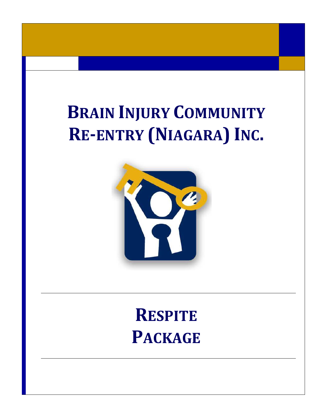# **BRAIN INJURY COMMUNITY** RE-ENTRY (NIAGARA) INC.



## **RESPITE PACKAGE**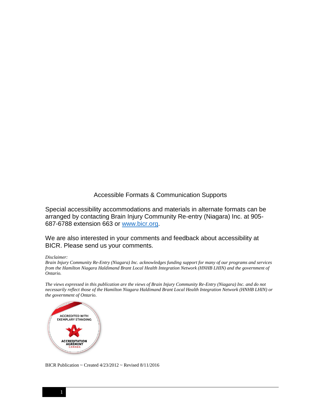#### Accessible Formats & Communication Supports

Special accessibility accommodations and materials in alternate formats can be arranged by contacting Brain Injury Community Re-entry (Niagara) Inc. at 905- 687-6788 extension 663 or [www.bicr.org.](http://www.bicr.org/)

We are also interested in your comments and feedback about accessibility at BICR. Please send us your comments.

#### *Disclaimer:*

*Brain Injury Community Re-Entry (Niagara) Inc. acknowledges funding support for many of our programs and services from the Hamilton Niagara Haldimand Brant Local Health Integration Network (HNHB LHIN) and the government of Ontario.* 

*The views expressed in this publication are the views of Brain Injury Community Re-Entry (Niagara) Inc. and do not necessarily reflect those of the Hamilton Niagara Haldimand Brant Local Health Integration Network (HNHB LHIN) or the government of Ontario.*



BICR Publication ~ Created 4/23/2012 ~ Revised 8/11/2016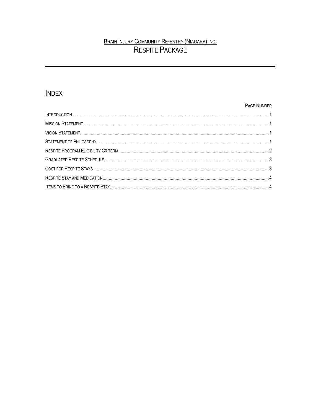### BRAIN INJURY COMMUNITY RE-ENTRY (NIAGARA) INC.<br>RESPITE PACKAGE

### **INDEX**

#### PAGE NUMBER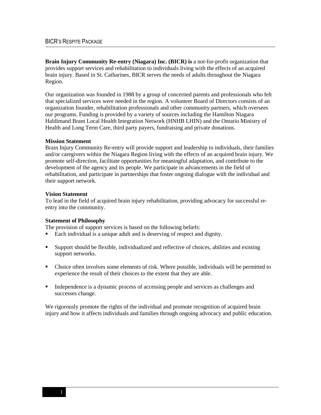**Brain Injury Community Re-entry (Niagara) Inc. (BICR) is** a not-for-profit organization that provides support services and rehabilitation to individuals living with the effects of an acquired brain injury. Based in St. Catharines, BICR serves the needs of adults throughout the Niagara Region.

Our organization was founded in 1988 by a group of concerned parents and professionals who felt that specialized services were needed in the region. A volunteer Board of Directors consists of an organization founder, rehabilitation professionals and other community partners, which oversees our programs. Funding is provided by a variety of sources including the Hamilton Niagara Haldimand Brant Local Health Integration Network (HNHB LHIN) and the Ontario Ministry of Health and Long Term Care, third party payers, fundraising and private donations.

#### **Mission Statement**

Brain Injury Community Re-entry will provide support and leadership to individuals, their families and/or caregivers within the Niagara Region living with the effects of an acquired brain injury. We promote self-direction, facilitate opportunities for meaningful adaptation, and contribute to the development of the agency and its people. We participate in advancements in the field of rehabilitation, and participate in partnerships that foster ongoing dialogue with the individual and their support network.

#### **Vision Statement**

To lead in the field of acquired brain injury rehabilitation, providing advocacy for successful reentry into the community.

#### **Statement of Philosophy**

The provision of support services is based on the following beliefs:

- Each individual is a unique adult and is deserving of respect and dignity.
- Support should be flexible, individualized and reflective of choices, abilities and existing support networks.
- Choice often involves some elements of risk. Where possible, individuals will be permitted to experience the result of their choices to the extent that they are able.
- Independence is a dynamic process of accessing people and services as challenges and successes change.

We rigorously promote the rights of the individual and promote recognition of acquired brain injury and how it affects individuals and families through ongoing advocacy and public education.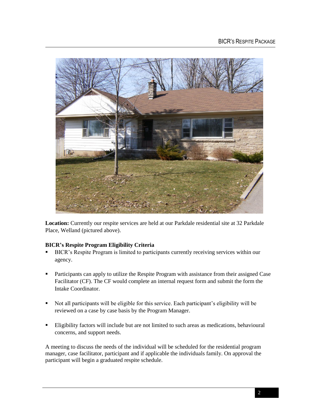

Location: Currently our respite services are held at our Parkdale residential site at 32 Parkdale Place, Welland (pictured above).

#### **BICR's Respite Program Eligibility Criteria**

- BICR's Respite Program is limited to participants currently receiving services within our agency.
- **Participants can apply to utilize the Respite Program with assistance from their assigned Case** Facilitator (CF). The CF would complete an internal request form and submit the form the Intake Coordinator.
- Not all participants will be eligible for this service. Each participant's eligibility will be reviewed on a case by case basis by the Program Manager.
- Eligibility factors will include but are not limited to such areas as medications, behavioural concerns, and support needs.

A meeting to discuss the needs of the individual will be scheduled for the residential program manager, case facilitator, participant and if applicable the individuals family. On approval the participant will begin a graduated respite schedule.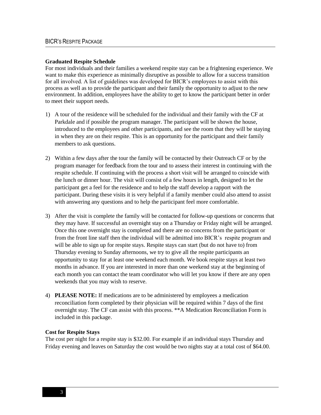#### **Graduated Respite Schedule**

For most individuals and their families a weekend respite stay can be a frightening experience. We want to make this experience as minimally disruptive as possible to allow for a success transition for all involved. A list of guidelines was developed for BICR's employees to assist with this process as well as to provide the participant and their family the opportunity to adjust to the new environment. In addition, employees have the ability to get to know the participant better in order to meet their support needs.

- 1) A tour of the residence will be scheduled for the individual and their family with the CF at Parkdale and if possible the program manager. The participant will be shown the house, introduced to the employees and other participants, and see the room that they will be staying in when they are on their respite. This is an opportunity for the participant and their family members to ask questions.
- 2) Within a few days after the tour the family will be contacted by their Outreach CF or by the program manager for feedback from the tour and to assess their interest in continuing with the respite schedule. If continuing with the process a short visit will be arranged to coincide with the lunch or dinner hour. The visit will consist of a few hours in length, designed to let the participant get a feel for the residence and to help the staff develop a rapport with the participant. During these visits it is very helpful if a family member could also attend to assist with answering any questions and to help the participant feel more comfortable.
- 3) After the visit is complete the family will be contacted for follow-up questions or concerns that they may have. If successful an overnight stay on a Thursday or Friday night will be arranged. Once this one overnight stay is completed and there are no concerns from the participant or from the front line staff then the individual will be admitted into BICR's respite program and will be able to sign up for respite stays. Respite stays can start (but do not have to) from Thursday evening to Sunday afternoons, we try to give all the respite participants an opportunity to stay for at least one weekend each month. We book respite stays at least two months in advance. If you are interested in more than one weekend stay at the beginning of each month you can contact the team coordinator who will let you know if there are any open weekends that you may wish to reserve.
- 4) **PLEASE NOTE:** If medications are to be administered by employees a medication reconciliation form completed by their physician will be required within 7 days of the first overnight stay. The CF can assist with this process. \*\*A Medication Reconciliation Form is included in this package.

#### **Cost for Respite Stays**

The cost per night for a respite stay is \$32.00. For example if an individual stays Thursday and Friday evening and leaves on Saturday the cost would be two nights stay at a total cost of \$64.00.